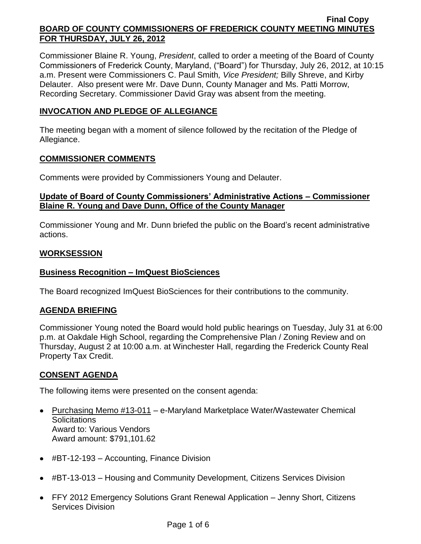Commissioner Blaine R. Young, *President*, called to order a meeting of the Board of County Commissioners of Frederick County, Maryland, ("Board") for Thursday, July 26, 2012, at 10:15 a.m. Present were Commissioners C. Paul Smith*, Vice President;* Billy Shreve, and Kirby Delauter. Also present were Mr. Dave Dunn, County Manager and Ms. Patti Morrow, Recording Secretary. Commissioner David Gray was absent from the meeting.

# **INVOCATION AND PLEDGE OF ALLEGIANCE**

The meeting began with a moment of silence followed by the recitation of the Pledge of Allegiance.

# **COMMISSIONER COMMENTS**

Comments were provided by Commissioners Young and Delauter.

# **Update of Board of County Commissioners' Administrative Actions – Commissioner Blaine R. Young and Dave Dunn, Office of the County Manager**

Commissioner Young and Mr. Dunn briefed the public on the Board's recent administrative actions.

## **WORKSESSION**

# **Business Recognition – ImQuest BioSciences**

The Board recognized ImQuest BioSciences for their contributions to the community.

## **AGENDA BRIEFING**

Commissioner Young noted the Board would hold public hearings on Tuesday, July 31 at 6:00 p.m. at Oakdale High School, regarding the Comprehensive Plan / Zoning Review and on Thursday, August 2 at 10:00 a.m. at Winchester Hall, regarding the Frederick County Real Property Tax Credit.

# **CONSENT AGENDA**

The following items were presented on the consent agenda:

- Purchasing Memo #13-011 e-Maryland Marketplace Water/Wastewater Chemical **Solicitations** Award to: Various Vendors Award amount: \$791,101.62
- #BT-12-193 Accounting, Finance Division
- #BT-13-013 Housing and Community Development, Citizens Services Division
- FFY 2012 Emergency Solutions Grant Renewal Application Jenny Short, Citizens Services Division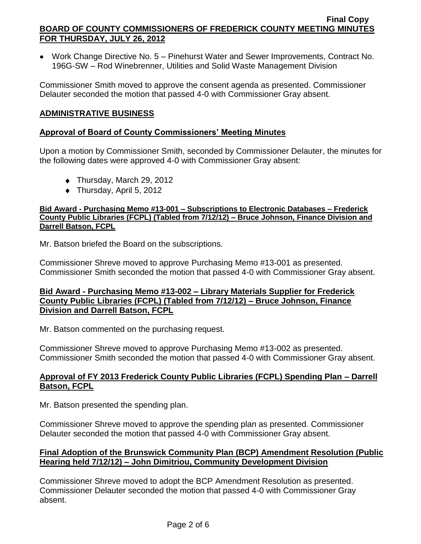Work Change Directive No. 5 – Pinehurst Water and Sewer Improvements, Contract No. 196G-SW – Rod Winebrenner, Utilities and Solid Waste Management Division

Commissioner Smith moved to approve the consent agenda as presented. Commissioner Delauter seconded the motion that passed 4-0 with Commissioner Gray absent.

# **ADMINISTRATIVE BUSINESS**

## **Approval of Board of County Commissioners' Meeting Minutes**

Upon a motion by Commissioner Smith, seconded by Commissioner Delauter, the minutes for the following dates were approved 4-0 with Commissioner Gray absent:

- ◆ Thursday, March 29, 2012
- ◆ Thursday, April 5, 2012

### **Bid Award - Purchasing Memo #13-001 – Subscriptions to Electronic Databases – Frederick County Public Libraries (FCPL) (Tabled from 7/12/12) – Bruce Johnson, Finance Division and Darrell Batson, FCPL**

Mr. Batson briefed the Board on the subscriptions.

Commissioner Shreve moved to approve Purchasing Memo #13-001 as presented. Commissioner Smith seconded the motion that passed 4-0 with Commissioner Gray absent.

# **Bid Award - Purchasing Memo #13-002 – Library Materials Supplier for Frederick County Public Libraries (FCPL) (Tabled from 7/12/12) – Bruce Johnson, Finance Division and Darrell Batson, FCPL**

Mr. Batson commented on the purchasing request.

Commissioner Shreve moved to approve Purchasing Memo #13-002 as presented. Commissioner Smith seconded the motion that passed 4-0 with Commissioner Gray absent.

## **Approval of FY 2013 Frederick County Public Libraries (FCPL) Spending Plan – Darrell Batson, FCPL**

Mr. Batson presented the spending plan.

Commissioner Shreve moved to approve the spending plan as presented. Commissioner Delauter seconded the motion that passed 4-0 with Commissioner Gray absent.

# **Final Adoption of the Brunswick Community Plan (BCP) Amendment Resolution (Public Hearing held 7/12/12) – John Dimitriou, Community Development Division**

Commissioner Shreve moved to adopt the BCP Amendment Resolution as presented. Commissioner Delauter seconded the motion that passed 4-0 with Commissioner Gray absent.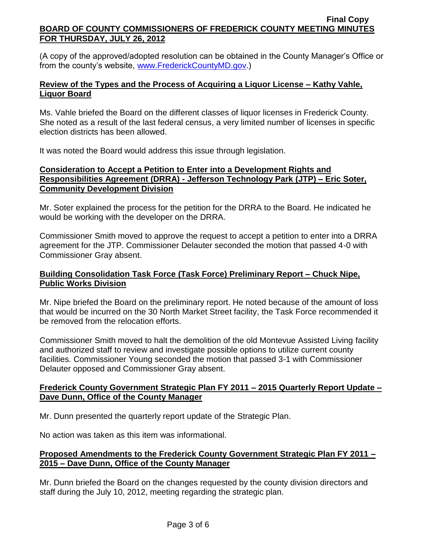(A copy of the approved/adopted resolution can be obtained in the County Manager's Office or from the county's website, [www.FrederickCountyMD.gov.](http://www.frederickcountymd.gov/))

# **Review of the Types and the Process of Acquiring a Liquor License – Kathy Vahle, Liquor Board**

Ms. Vahle briefed the Board on the different classes of liquor licenses in Frederick County. She noted as a result of the last federal census, a very limited number of licenses in specific election districts has been allowed.

It was noted the Board would address this issue through legislation.

# **Consideration to Accept a Petition to Enter into a Development Rights and Responsibilities Agreement (DRRA) - Jefferson Technology Park (JTP) – Eric Soter, Community Development Division**

Mr. Soter explained the process for the petition for the DRRA to the Board. He indicated he would be working with the developer on the DRRA.

Commissioner Smith moved to approve the request to accept a petition to enter into a DRRA agreement for the JTP. Commissioner Delauter seconded the motion that passed 4-0 with Commissioner Gray absent.

# **Building Consolidation Task Force (Task Force) Preliminary Report – Chuck Nipe, Public Works Division**

Mr. Nipe briefed the Board on the preliminary report. He noted because of the amount of loss that would be incurred on the 30 North Market Street facility, the Task Force recommended it be removed from the relocation efforts.

Commissioner Smith moved to halt the demolition of the old Montevue Assisted Living facility and authorized staff to review and investigate possible options to utilize current county facilities. Commissioner Young seconded the motion that passed 3-1 with Commissioner Delauter opposed and Commissioner Gray absent.

# **Frederick County Government Strategic Plan FY 2011 – 2015 Quarterly Report Update – Dave Dunn, Office of the County Manager**

Mr. Dunn presented the quarterly report update of the Strategic Plan.

No action was taken as this item was informational.

# **Proposed Amendments to the Frederick County Government Strategic Plan FY 2011 – 2015 – Dave Dunn, Office of the County Manager**

Mr. Dunn briefed the Board on the changes requested by the county division directors and staff during the July 10, 2012, meeting regarding the strategic plan.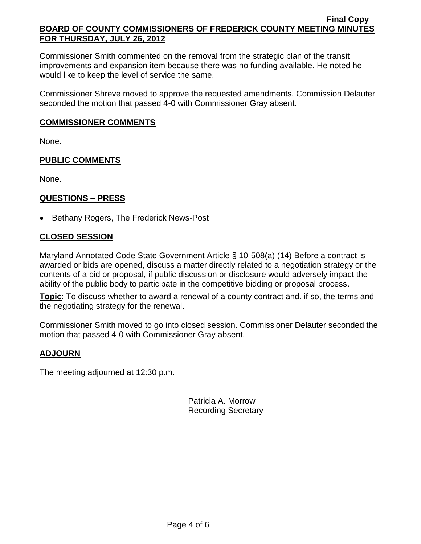Commissioner Smith commented on the removal from the strategic plan of the transit improvements and expansion item because there was no funding available. He noted he would like to keep the level of service the same.

Commissioner Shreve moved to approve the requested amendments. Commission Delauter seconded the motion that passed 4-0 with Commissioner Gray absent.

### **COMMISSIONER COMMENTS**

None.

## **PUBLIC COMMENTS**

None.

## **QUESTIONS – PRESS**

• Bethany Rogers, The Frederick News-Post

## **CLOSED SESSION**

Maryland Annotated Code State Government Article § 10-508(a) (14) Before a contract is awarded or bids are opened, discuss a matter directly related to a negotiation strategy or the contents of a bid or proposal, if public discussion or disclosure would adversely impact the ability of the public body to participate in the competitive bidding or proposal process.

**Topic**: To discuss whether to award a renewal of a county contract and, if so, the terms and the negotiating strategy for the renewal.

Commissioner Smith moved to go into closed session. Commissioner Delauter seconded the motion that passed 4-0 with Commissioner Gray absent.

## **ADJOURN**

The meeting adjourned at 12:30 p.m.

Patricia A. Morrow Recording Secretary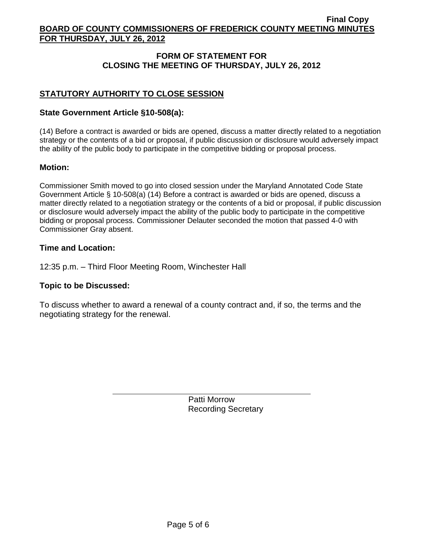# **FORM OF STATEMENT FOR CLOSING THE MEETING OF THURSDAY, JULY 26, 2012**

# **STATUTORY AUTHORITY TO CLOSE SESSION**

### **State Government Article §10-508(a):**

(14) Before a contract is awarded or bids are opened, discuss a matter directly related to a negotiation strategy or the contents of a bid or proposal, if public discussion or disclosure would adversely impact the ability of the public body to participate in the competitive bidding or proposal process.

### **Motion:**

Commissioner Smith moved to go into closed session under the Maryland Annotated Code State Government Article § 10-508(a) (14) Before a contract is awarded or bids are opened, discuss a matter directly related to a negotiation strategy or the contents of a bid or proposal, if public discussion or disclosure would adversely impact the ability of the public body to participate in the competitive bidding or proposal process. Commissioner Delauter seconded the motion that passed 4-0 with Commissioner Gray absent.

#### **Time and Location:**

12:35 p.m. – Third Floor Meeting Room, Winchester Hall

#### **Topic to be Discussed:**

To discuss whether to award a renewal of a county contract and, if so, the terms and the negotiating strategy for the renewal.

> Patti Morrow Recording Secretary